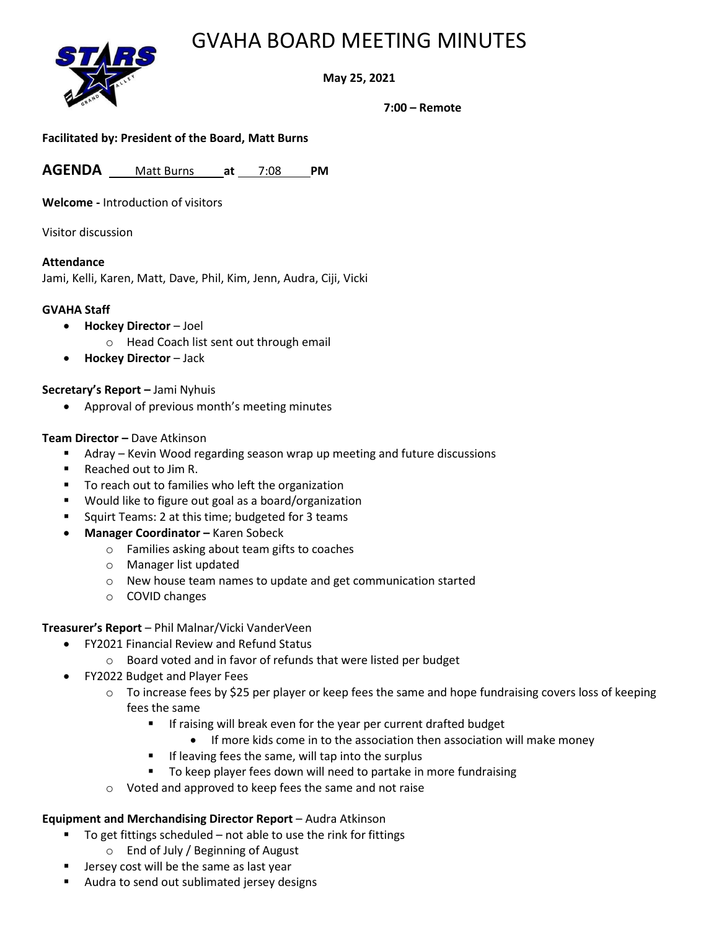# GVAHA BOARD MEETING MINUTES



## **May 25, 2021**

**7:00 – Remote**

## **Facilitated by: President of the Board, Matt Burns**

**AGENDA** Matt Burns **at** 7:08 **PM**

**Welcome -** Introduction of visitors

Visitor discussion

## **Attendance**

Jami, Kelli, Karen, Matt, Dave, Phil, Kim, Jenn, Audra, Ciji, Vicki

## **GVAHA Staff**

- **Hockey Director** Joel
	- o Head Coach list sent out through email
- **Hockey Director** Jack

## **Secretary's Report –** Jami Nyhuis

• Approval of previous month's meeting minutes

#### **Team Director –** Dave Atkinson

- Adray Kevin Wood regarding season wrap up meeting and future discussions
- Reached out to Jim R.
- To reach out to families who left the organization
- Would like to figure out goal as a board/organization
- Squirt Teams: 2 at this time; budgeted for 3 teams
- **Manager Coordinator –** Karen Sobeck
	- o Families asking about team gifts to coaches
	- o Manager list updated
	- o New house team names to update and get communication started
	- o COVID changes

## **Treasurer's Report** – Phil Malnar/Vicki VanderVeen

- FY2021 Financial Review and Refund Status
	- o Board voted and in favor of refunds that were listed per budget
- FY2022 Budget and Player Fees
	- $\circ$  To increase fees by \$25 per player or keep fees the same and hope fundraising covers loss of keeping fees the same
		- If raising will break even for the year per current drafted budget
			- If more kids come in to the association then association will make money
		- If leaving fees the same, will tap into the surplus
		- To keep player fees down will need to partake in more fundraising
	- o Voted and approved to keep fees the same and not raise

## **Equipment and Merchandising Director Report** – Audra Atkinson

- $\blacksquare$  To get fittings scheduled not able to use the rink for fittings
	- o End of July / Beginning of August
	- Jersey cost will be the same as last year
- Audra to send out sublimated jersey designs